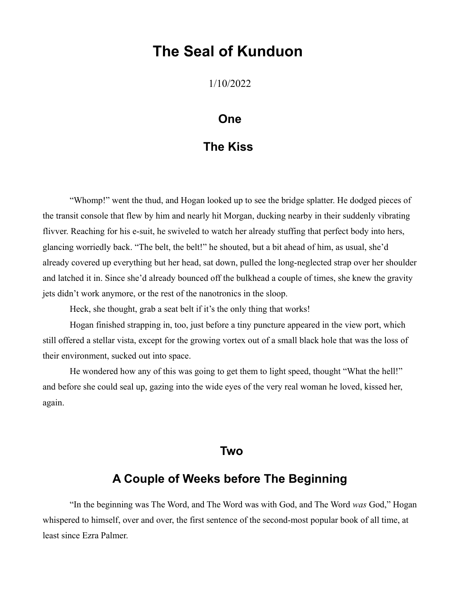# **The Seal of Kunduon**

1/10/2022

#### **One**

### **The Kiss**

"Whomp!" went the thud, and Hogan looked up to see the bridge splatter. He dodged pieces of the transit console that flew by him and nearly hit Morgan, ducking nearby in their suddenly vibrating flivver. Reaching for his e-suit, he swiveled to watch her already stuffing that perfect body into hers, glancing worriedly back. "The belt, the belt!" he shouted, but a bit ahead of him, as usual, she'd already covered up everything but her head, sat down, pulled the long-neglected strap over her shoulder and latched it in. Since she'd already bounced off the bulkhead a couple of times, she knew the gravity jets didn't work anymore, or the rest of the nanotronics in the sloop.

Heck, she thought, grab a seat belt if it's the only thing that works!

Hogan finished strapping in, too, just before a tiny puncture appeared in the view port, which still offered a stellar vista, except for the growing vortex out of a small black hole that was the loss of their environment, sucked out into space.

He wondered how any of this was going to get them to light speed, thought "What the hell!" and before she could seal up, gazing into the wide eyes of the very real woman he loved, kissed her, again.

#### **Two**

#### **A Couple of Weeks before The Beginning**

"In the beginning was The Word, and The Word was with God, and The Word *was* God," Hogan whispered to himself, over and over, the first sentence of the second-most popular book of all time, at least since Ezra Palmer.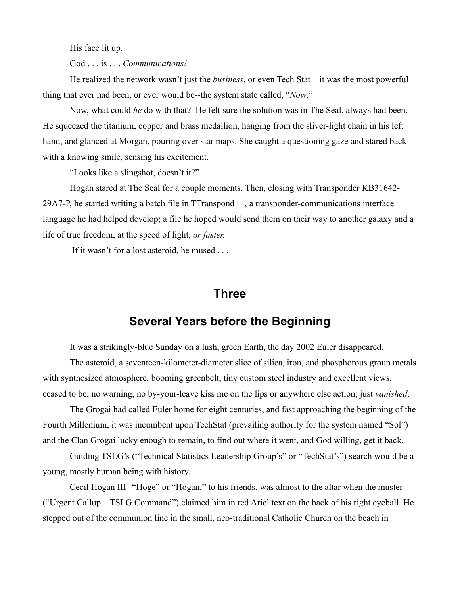His face lit up.

God . . . is . . . *Communications!*

He realized the network wasn't just the *business*, or even Tech Stat—it was the most powerful thing that ever had been, or ever would be--the system state called, "*Now*."

Now, what could *he* do with that? He felt sure the solution was in The Seal, always had been. He squeezed the titanium, copper and brass medallion, hanging from the sliver-light chain in his left hand, and glanced at Morgan, pouring over star maps. She caught a questioning gaze and stared back with a knowing smile, sensing his excitement.

"Looks like a slingshot, doesn't it?"

Hogan stared at The Seal for a couple moments. Then, closing with Transponder KB31642- 29A7-P, he started writing a batch file in TTranspond++, a transponder-communications interface language he had helped develop; a file he hoped would send them on their way to another galaxy and a life of true freedom, at the speed of light, *or faster.*

If it wasn't for a lost asteroid, he mused . . .

#### **Three**

### **Several Years before the Beginning**

It was a strikingly-blue Sunday on a lush, green Earth, the day 2002 Euler disappeared.

The asteroid, a seventeen-kilometer-diameter slice of silica, iron, and phosphorous group metals with synthesized atmosphere, booming greenbelt, tiny custom steel industry and excellent views, ceased to be; no warning, no by-your-leave kiss me on the lips or anywhere else action; just *vanished*.

The Grogai had called Euler home for eight centuries, and fast approaching the beginning of the Fourth Millenium, it was incumbent upon TechStat (prevailing authority for the system named "Sol") and the Clan Grogai lucky enough to remain, to find out where it went, and God willing, get it back.

Guiding TSLG's ("Technical Statistics Leadership Group's" or "TechStat's") search would be a young, mostly human being with history.

Cecil Hogan III--"Hoge" or "Hogan," to his friends, was almost to the altar when the muster ("Urgent Callup – TSLG Command") claimed him in red Ariel text on the back of his right eyeball. He stepped out of the communion line in the small, neo-traditional Catholic Church on the beach in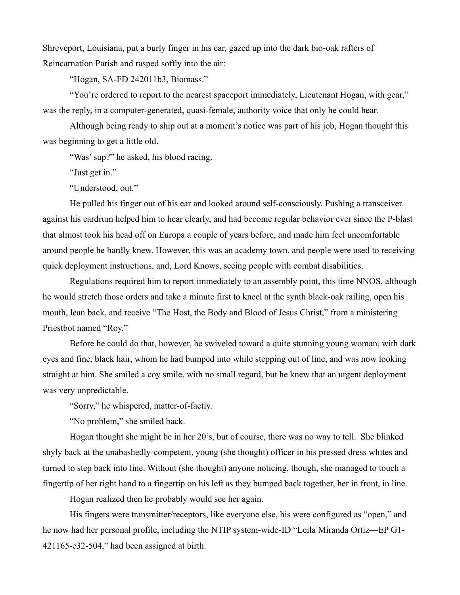Shreveport, Louisiana, put a burly finger in his ear, gazed up into the dark bio-oak rafters of Reincarnation Parish and rasped softly into the air:

"Hogan, SA-FD 242011b3, Biomass."

"You're ordered to report to the nearest spaceport immediately, Lieutenant Hogan, with gear," was the reply, in a computer-generated, quasi-female, authority voice that only he could hear.

Although being ready to ship out at a moment's notice was part of his job, Hogan thought this was beginning to get a little old.

"Was' sup?" he asked, his blood racing.

"Just get in."

"Understood, out."

He pulled his finger out of his ear and looked around self-consciously. Pushing a transceiver against his eardrum helped him to hear clearly, and had become regular behavior ever since the P-blast that almost took his head off on Europa a couple of years before, and made him feel uncomfortable around people he hardly knew. However, this was an academy town, and people were used to receiving quick deployment instructions, and, Lord Knows, seeing people with combat disabilities.

Regulations required him to report immediately to an assembly point, this time NNOS, although he would stretch those orders and take a minute first to kneel at the synth black-oak railing, open his mouth, lean back, and receive "The Host, the Body and Blood of Jesus Christ," from a ministering Priestbot named "Roy."

Before he could do that, however, he swiveled toward a quite stunning young woman, with dark eyes and fine, black hair, whom he had bumped into while stepping out of line, and was now looking straight at him. She smiled a coy smile, with no small regard, but he knew that an urgent deployment was very unpredictable.

"Sorry," he whispered, matter-of-factly.

"No problem," she smiled back.

Hogan thought she might be in her 20's, but of course, there was no way to tell. She blinked shyly back at the unabashedly-competent, young (she thought) officer in his pressed dress whites and turned to step back into line. Without (she thought) anyone noticing, though, she managed to touch a fingertip of her right hand to a fingertip on his left as they bumped back together, her in front, in line.

Hogan realized then he probably would see her again.

His fingers were transmitter/receptors, like everyone else, his were configured as "open," and he now had her personal profile, including the NTIP system-wide-ID "Leila Miranda Ortiz—EP G1- 421165-e32-504," had been assigned at birth.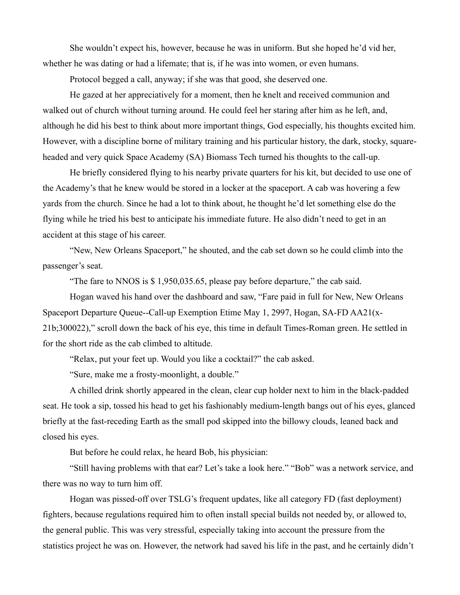She wouldn't expect his, however, because he was in uniform. But she hoped he'd vid her, whether he was dating or had a lifemate; that is, if he was into women, or even humans.

Protocol begged a call, anyway; if she was that good, she deserved one.

He gazed at her appreciatively for a moment, then he knelt and received communion and walked out of church without turning around. He could feel her staring after him as he left, and, although he did his best to think about more important things, God especially, his thoughts excited him. However, with a discipline borne of military training and his particular history, the dark, stocky, squareheaded and very quick Space Academy (SA) Biomass Tech turned his thoughts to the call-up.

He briefly considered flying to his nearby private quarters for his kit, but decided to use one of the Academy's that he knew would be stored in a locker at the spaceport. A cab was hovering a few yards from the church. Since he had a lot to think about, he thought he'd let something else do the flying while he tried his best to anticipate his immediate future. He also didn't need to get in an accident at this stage of his career.

"New, New Orleans Spaceport," he shouted, and the cab set down so he could climb into the passenger's seat.

"The fare to NNOS is \$ 1,950,035.65, please pay before departure," the cab said.

Hogan waved his hand over the dashboard and saw, "Fare paid in full for New, New Orleans Spaceport Departure Queue--Call-up Exemption Etime May 1, 2997, Hogan, SA-FD AA21(x-21b;300022)," scroll down the back of his eye, this time in default Times-Roman green. He settled in for the short ride as the cab climbed to altitude.

"Relax, put your feet up. Would you like a cocktail?" the cab asked.

"Sure, make me a frosty-moonlight, a double."

A chilled drink shortly appeared in the clean, clear cup holder next to him in the black-padded seat. He took a sip, tossed his head to get his fashionably medium-length bangs out of his eyes, glanced briefly at the fast-receding Earth as the small pod skipped into the billowy clouds, leaned back and closed his eyes.

But before he could relax, he heard Bob, his physician:

"Still having problems with that ear? Let's take a look here." "Bob" was a network service, and there was no way to turn him off.

Hogan was pissed-off over TSLG's frequent updates, like all category FD (fast deployment) fighters, because regulations required him to often install special builds not needed by, or allowed to, the general public. This was very stressful, especially taking into account the pressure from the statistics project he was on. However, the network had saved his life in the past, and he certainly didn't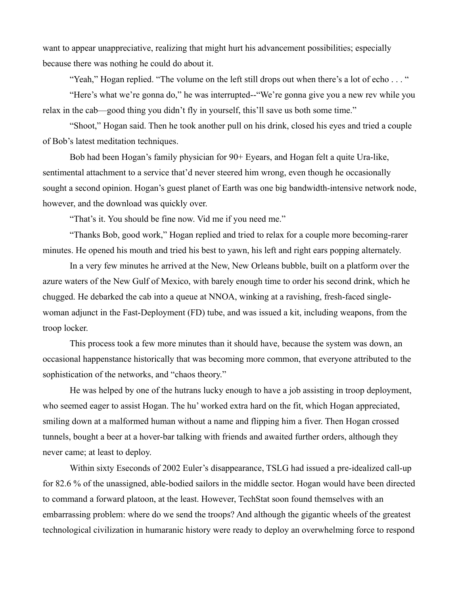want to appear unappreciative, realizing that might hurt his advancement possibilities; especially because there was nothing he could do about it.

"Yeah," Hogan replied. "The volume on the left still drops out when there's a lot of echo . . . "

"Here's what we're gonna do," he was interrupted--"We're gonna give you a new rev while you relax in the cab—good thing you didn't fly in yourself, this'll save us both some time."

"Shoot," Hogan said. Then he took another pull on his drink, closed his eyes and tried a couple of Bob's latest meditation techniques.

Bob had been Hogan's family physician for 90+ Eyears, and Hogan felt a quite Ura-like, sentimental attachment to a service that'd never steered him wrong, even though he occasionally sought a second opinion. Hogan's guest planet of Earth was one big bandwidth-intensive network node, however, and the download was quickly over.

"That's it. You should be fine now. Vid me if you need me."

"Thanks Bob, good work," Hogan replied and tried to relax for a couple more becoming-rarer minutes. He opened his mouth and tried his best to yawn, his left and right ears popping alternately.

In a very few minutes he arrived at the New, New Orleans bubble, built on a platform over the azure waters of the New Gulf of Mexico, with barely enough time to order his second drink, which he chugged. He debarked the cab into a queue at NNOA, winking at a ravishing, fresh-faced singlewoman adjunct in the Fast-Deployment (FD) tube, and was issued a kit, including weapons, from the troop locker.

This process took a few more minutes than it should have, because the system was down, an occasional happenstance historically that was becoming more common, that everyone attributed to the sophistication of the networks, and "chaos theory."

He was helped by one of the hutrans lucky enough to have a job assisting in troop deployment, who seemed eager to assist Hogan. The hu' worked extra hard on the fit, which Hogan appreciated, smiling down at a malformed human without a name and flipping him a fiver. Then Hogan crossed tunnels, bought a beer at a hover-bar talking with friends and awaited further orders, although they never came; at least to deploy.

Within sixty Eseconds of 2002 Euler's disappearance, TSLG had issued a pre-idealized call-up for 82.6 % of the unassigned, able-bodied sailors in the middle sector. Hogan would have been directed to command a forward platoon, at the least. However, TechStat soon found themselves with an embarrassing problem: where do we send the troops? And although the gigantic wheels of the greatest technological civilization in humaranic history were ready to deploy an overwhelming force to respond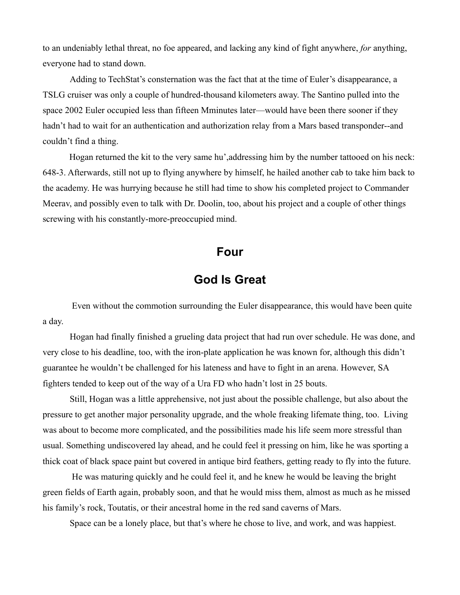to an undeniably lethal threat, no foe appeared, and lacking any kind of fight anywhere, *for* anything, everyone had to stand down.

Adding to TechStat's consternation was the fact that at the time of Euler's disappearance, a TSLG cruiser was only a couple of hundred-thousand kilometers away. The Santino pulled into the space 2002 Euler occupied less than fifteen Mminutes later—would have been there sooner if they hadn't had to wait for an authentication and authorization relay from a Mars based transponder--and couldn't find a thing.

Hogan returned the kit to the very same hu',addressing him by the number tattooed on his neck: 648-3. Afterwards, still not up to flying anywhere by himself, he hailed another cab to take him back to the academy. He was hurrying because he still had time to show his completed project to Commander Meerav, and possibly even to talk with Dr. Doolin, too, about his project and a couple of other things screwing with his constantly-more-preoccupied mind.

#### **Four**

# **God Is Great**

 Even without the commotion surrounding the Euler disappearance, this would have been quite a day.

Hogan had finally finished a grueling data project that had run over schedule. He was done, and very close to his deadline, too, with the iron-plate application he was known for, although this didn't guarantee he wouldn't be challenged for his lateness and have to fight in an arena. However, SA fighters tended to keep out of the way of a Ura FD who hadn't lost in 25 bouts.

Still, Hogan was a little apprehensive, not just about the possible challenge, but also about the pressure to get another major personality upgrade, and the whole freaking lifemate thing, too. Living was about to become more complicated, and the possibilities made his life seem more stressful than usual. Something undiscovered lay ahead, and he could feel it pressing on him, like he was sporting a thick coat of black space paint but covered in antique bird feathers, getting ready to fly into the future.

 He was maturing quickly and he could feel it, and he knew he would be leaving the bright green fields of Earth again, probably soon, and that he would miss them, almost as much as he missed his family's rock, Toutatis, or their ancestral home in the red sand caverns of Mars.

Space can be a lonely place, but that's where he chose to live, and work, and was happiest.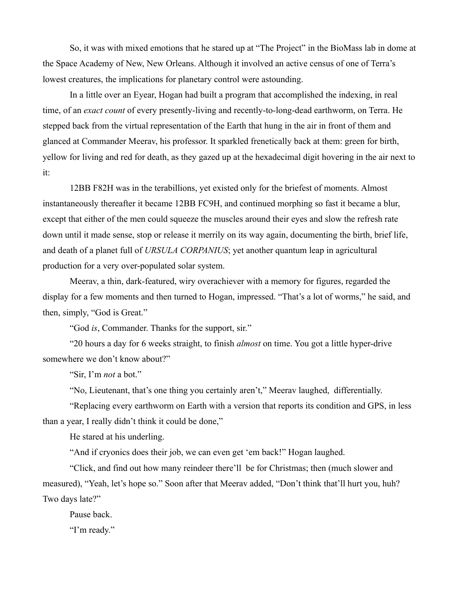So, it was with mixed emotions that he stared up at "The Project" in the BioMass lab in dome at the Space Academy of New, New Orleans. Although it involved an active census of one of Terra's lowest creatures, the implications for planetary control were astounding.

In a little over an Eyear, Hogan had built a program that accomplished the indexing, in real time, of an *exact count* of every presently-living and recently-to-long-dead earthworm, on Terra. He stepped back from the virtual representation of the Earth that hung in the air in front of them and glanced at Commander Meerav, his professor. It sparkled frenetically back at them: green for birth, yellow for living and red for death, as they gazed up at the hexadecimal digit hovering in the air next to it:

12BB F82H was in the terabillions, yet existed only for the briefest of moments. Almost instantaneously thereafter it became 12BB FC9H, and continued morphing so fast it became a blur, except that either of the men could squeeze the muscles around their eyes and slow the refresh rate down until it made sense, stop or release it merrily on its way again, documenting the birth, brief life, and death of a planet full of *URSULA CORPANIUS*; yet another quantum leap in agricultural production for a very over-populated solar system.

Meerav, a thin, dark-featured, wiry overachiever with a memory for figures, regarded the display for a few moments and then turned to Hogan, impressed. "That's a lot of worms," he said, and then, simply, "God is Great."

"God *is*, Commander. Thanks for the support, sir."

"20 hours a day for 6 weeks straight, to finish *almost* on time. You got a little hyper-drive somewhere we don't know about?"

"Sir, I'm *not* a bot."

"No, Lieutenant, that's one thing you certainly aren't," Meerav laughed, differentially.

"Replacing every earthworm on Earth with a version that reports its condition and GPS, in less than a year, I really didn't think it could be done,"

He stared at his underling.

"And if cryonics does their job, we can even get 'em back!" Hogan laughed.

"Click, and find out how many reindeer there'll be for Christmas; then (much slower and measured), "Yeah, let's hope so." Soon after that Meerav added, "Don't think that'll hurt you, huh? Two days late?"

Pause back.

"I'm ready."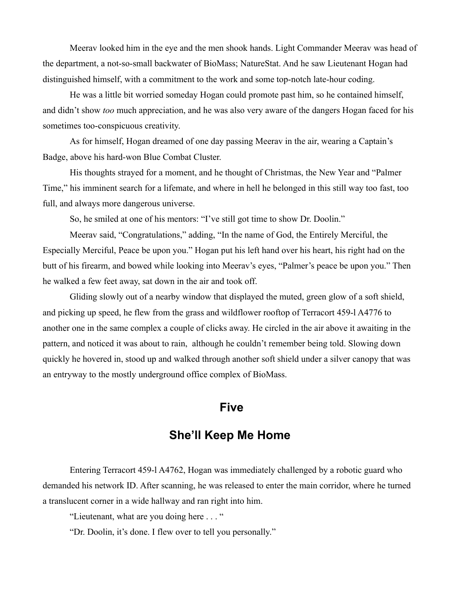Meerav looked him in the eye and the men shook hands. Light Commander Meerav was head of the department, a not-so-small backwater of BioMass; NatureStat. And he saw Lieutenant Hogan had distinguished himself, with a commitment to the work and some top-notch late-hour coding.

He was a little bit worried someday Hogan could promote past him, so he contained himself, and didn't show *too* much appreciation, and he was also very aware of the dangers Hogan faced for his sometimes too-conspicuous creativity.

As for himself, Hogan dreamed of one day passing Meerav in the air, wearing a Captain's Badge, above his hard-won Blue Combat Cluster.

His thoughts strayed for a moment, and he thought of Christmas, the New Year and "Palmer" Time," his imminent search for a lifemate, and where in hell he belonged in this still way too fast, too full, and always more dangerous universe.

So, he smiled at one of his mentors: "I've still got time to show Dr. Doolin."

Meerav said, "Congratulations," adding, "In the name of God, the Entirely Merciful, the Especially Merciful, Peace be upon you." Hogan put his left hand over his heart, his right had on the butt of his firearm, and bowed while looking into Meerav's eyes, "Palmer's peace be upon you." Then he walked a few feet away, sat down in the air and took off.

Gliding slowly out of a nearby window that displayed the muted, green glow of a soft shield, and picking up speed, he flew from the grass and wildflower rooftop of Terracort 459-l A4776 to another one in the same complex a couple of clicks away. He circled in the air above it awaiting in the pattern, and noticed it was about to rain, although he couldn't remember being told. Slowing down quickly he hovered in, stood up and walked through another soft shield under a silver canopy that was an entryway to the mostly underground office complex of BioMass.

#### **Five**

## **She'll Keep Me Home**

Entering Terracort 459-l A4762, Hogan was immediately challenged by a robotic guard who demanded his network ID. After scanning, he was released to enter the main corridor, where he turned a translucent corner in a wide hallway and ran right into him.

"Lieutenant, what are you doing here . . . "

"Dr. Doolin, it's done. I flew over to tell you personally."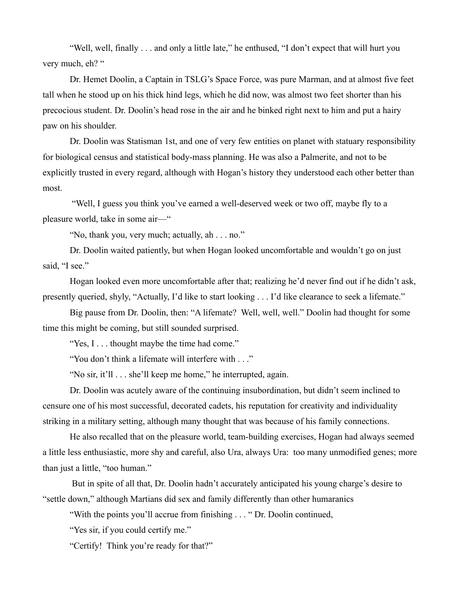"Well, well, finally . . . and only a little late," he enthused, "I don't expect that will hurt you very much, eh? "

Dr. Hemet Doolin, a Captain in TSLG's Space Force, was pure Marman, and at almost five feet tall when he stood up on his thick hind legs, which he did now, was almost two feet shorter than his precocious student. Dr. Doolin's head rose in the air and he binked right next to him and put a hairy paw on his shoulder.

Dr. Doolin was Statisman 1st, and one of very few entities on planet with statuary responsibility for biological census and statistical body-mass planning. He was also a Palmerite, and not to be explicitly trusted in every regard, although with Hogan's history they understood each other better than most.

 "Well, I guess you think you've earned a well-deserved week or two off, maybe fly to a pleasure world, take in some air—"

"No, thank you, very much; actually, ah . . . no."

Dr. Doolin waited patiently, but when Hogan looked uncomfortable and wouldn't go on just said. "I see."

Hogan looked even more uncomfortable after that; realizing he'd never find out if he didn't ask, presently queried, shyly, "Actually, I'd like to start looking . . . I'd like clearance to seek a lifemate."

Big pause from Dr. Doolin, then: "A lifemate? Well, well, well." Doolin had thought for some time this might be coming, but still sounded surprised.

"Yes, I . . . thought maybe the time had come."

"You don't think a lifemate will interfere with . . ."

"No sir, it'll . . . she'll keep me home," he interrupted, again.

Dr. Doolin was acutely aware of the continuing insubordination, but didn't seem inclined to censure one of his most successful, decorated cadets, his reputation for creativity and individuality striking in a military setting, although many thought that was because of his family connections.

He also recalled that on the pleasure world, team-building exercises, Hogan had always seemed a little less enthusiastic, more shy and careful, also Ura, always Ura: too many unmodified genes; more than just a little, "too human."

 But in spite of all that, Dr. Doolin hadn't accurately anticipated his young charge's desire to "settle down," although Martians did sex and family differently than other humaranics

"With the points you'll accrue from finishing . . . " Dr. Doolin continued,

"Yes sir, if you could certify me."

"Certify! Think you're ready for that?"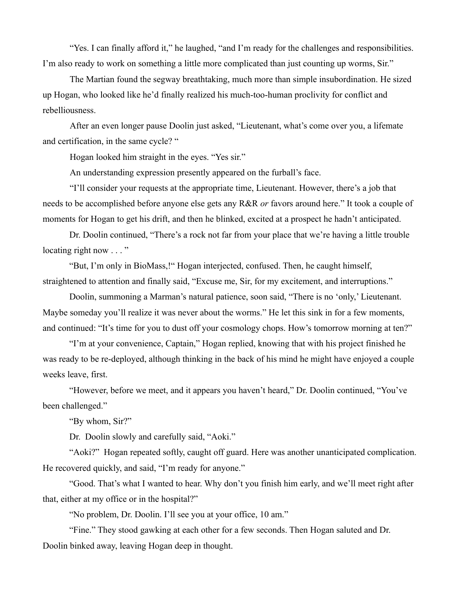"Yes. I can finally afford it," he laughed, "and I'm ready for the challenges and responsibilities. I'm also ready to work on something a little more complicated than just counting up worms, Sir."

The Martian found the segway breathtaking, much more than simple insubordination. He sized up Hogan, who looked like he'd finally realized his much-too-human proclivity for conflict and rebelliousness.

After an even longer pause Doolin just asked, "Lieutenant, what's come over you, a lifemate and certification, in the same cycle? "

Hogan looked him straight in the eyes. "Yes sir."

An understanding expression presently appeared on the furball's face.

"I'll consider your requests at the appropriate time, Lieutenant. However, there's a job that needs to be accomplished before anyone else gets any R&R *or* favors around here." It took a couple of moments for Hogan to get his drift, and then he blinked, excited at a prospect he hadn't anticipated.

Dr. Doolin continued, "There's a rock not far from your place that we're having a little trouble locating right now  $\dots$ "

"But, I'm only in BioMass,!" Hogan interjected, confused. Then, he caught himself, straightened to attention and finally said, "Excuse me, Sir, for my excitement, and interruptions."

Doolin, summoning a Marman's natural patience, soon said, "There is no 'only,' Lieutenant. Maybe someday you'll realize it was never about the worms." He let this sink in for a few moments, and continued: "It's time for you to dust off your cosmology chops. How's tomorrow morning at ten?"

"I'm at your convenience, Captain," Hogan replied, knowing that with his project finished he was ready to be re-deployed, although thinking in the back of his mind he might have enjoyed a couple weeks leave, first.

"However, before we meet, and it appears you haven't heard," Dr. Doolin continued, "You've been challenged."

"By whom, Sir?"

Dr. Doolin slowly and carefully said, "Aoki."

"Aoki?" Hogan repeated softly, caught off guard. Here was another unanticipated complication. He recovered quickly, and said, "I'm ready for anyone."

"Good. That's what I wanted to hear. Why don't you finish him early, and we'll meet right after that, either at my office or in the hospital?"

"No problem, Dr. Doolin. I'll see you at your office, 10 am."

"Fine." They stood gawking at each other for a few seconds. Then Hogan saluted and Dr. Doolin binked away, leaving Hogan deep in thought.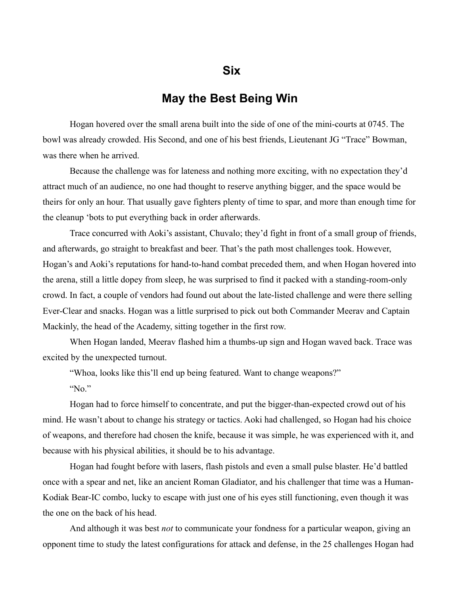### **May the Best Being Win**

Hogan hovered over the small arena built into the side of one of the mini-courts at 0745. The bowl was already crowded. His Second, and one of his best friends, Lieutenant JG "Trace" Bowman, was there when he arrived.

Because the challenge was for lateness and nothing more exciting, with no expectation they'd attract much of an audience, no one had thought to reserve anything bigger, and the space would be theirs for only an hour. That usually gave fighters plenty of time to spar, and more than enough time for the cleanup 'bots to put everything back in order afterwards.

Trace concurred with Aoki's assistant, Chuvalo; they'd fight in front of a small group of friends, and afterwards, go straight to breakfast and beer. That's the path most challenges took. However, Hogan's and Aoki's reputations for hand-to-hand combat preceded them, and when Hogan hovered into the arena, still a little dopey from sleep, he was surprised to find it packed with a standing-room-only crowd. In fact, a couple of vendors had found out about the late-listed challenge and were there selling Ever-Clear and snacks. Hogan was a little surprised to pick out both Commander Meerav and Captain Mackinly, the head of the Academy, sitting together in the first row.

When Hogan landed, Meerav flashed him a thumbs-up sign and Hogan waved back. Trace was excited by the unexpected turnout.

"Whoa, looks like this'll end up being featured. Want to change weapons?"

"No."

Hogan had to force himself to concentrate, and put the bigger-than-expected crowd out of his mind. He wasn't about to change his strategy or tactics. Aoki had challenged, so Hogan had his choice of weapons, and therefore had chosen the knife, because it was simple, he was experienced with it, and because with his physical abilities, it should be to his advantage.

Hogan had fought before with lasers, flash pistols and even a small pulse blaster. He'd battled once with a spear and net, like an ancient Roman Gladiator, and his challenger that time was a Human-Kodiak Bear-IC combo, lucky to escape with just one of his eyes still functioning, even though it was the one on the back of his head.

And although it was best *not* to communicate your fondness for a particular weapon, giving an opponent time to study the latest configurations for attack and defense, in the 25 challenges Hogan had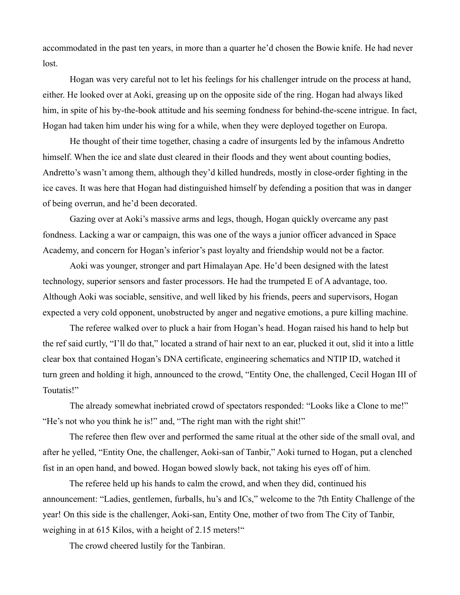accommodated in the past ten years, in more than a quarter he'd chosen the Bowie knife. He had never lost.

Hogan was very careful not to let his feelings for his challenger intrude on the process at hand, either. He looked over at Aoki, greasing up on the opposite side of the ring. Hogan had always liked him, in spite of his by-the-book attitude and his seeming fondness for behind-the-scene intrigue. In fact, Hogan had taken him under his wing for a while, when they were deployed together on Europa.

He thought of their time together, chasing a cadre of insurgents led by the infamous Andretto himself. When the ice and slate dust cleared in their floods and they went about counting bodies, Andretto's wasn't among them, although they'd killed hundreds, mostly in close-order fighting in the ice caves. It was here that Hogan had distinguished himself by defending a position that was in danger of being overrun, and he'd been decorated.

Gazing over at Aoki's massive arms and legs, though, Hogan quickly overcame any past fondness. Lacking a war or campaign, this was one of the ways a junior officer advanced in Space Academy, and concern for Hogan's inferior's past loyalty and friendship would not be a factor.

Aoki was younger, stronger and part Himalayan Ape. He'd been designed with the latest technology, superior sensors and faster processors. He had the trumpeted E of A advantage, too. Although Aoki was sociable, sensitive, and well liked by his friends, peers and supervisors, Hogan expected a very cold opponent, unobstructed by anger and negative emotions, a pure killing machine.

The referee walked over to pluck a hair from Hogan's head. Hogan raised his hand to help but the ref said curtly, "I'll do that," located a strand of hair next to an ear, plucked it out, slid it into a little clear box that contained Hogan's DNA certificate, engineering schematics and NTIP ID, watched it turn green and holding it high, announced to the crowd, "Entity One, the challenged, Cecil Hogan III of Toutatis!"

The already somewhat inebriated crowd of spectators responded: "Looks like a Clone to me!" "He's not who you think he is!" and, "The right man with the right shit!"

The referee then flew over and performed the same ritual at the other side of the small oval, and after he yelled, "Entity One, the challenger, Aoki-san of Tanbir," Aoki turned to Hogan, put a clenched fist in an open hand, and bowed. Hogan bowed slowly back, not taking his eyes off of him.

The referee held up his hands to calm the crowd, and when they did, continued his announcement: "Ladies, gentlemen, furballs, hu's and ICs," welcome to the 7th Entity Challenge of the year! On this side is the challenger, Aoki-san, Entity One, mother of two from The City of Tanbir, weighing in at 615 Kilos, with a height of 2.15 meters!"

The crowd cheered lustily for the Tanbiran.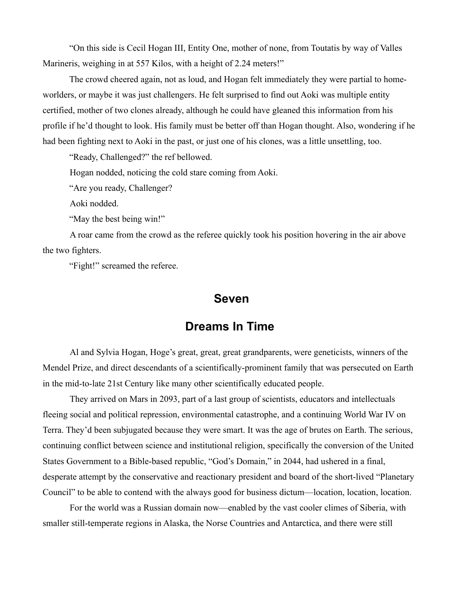"On this side is Cecil Hogan III, Entity One, mother of none, from Toutatis by way of Valles Marineris, weighing in at 557 Kilos, with a height of 2.24 meters!"

The crowd cheered again, not as loud, and Hogan felt immediately they were partial to homeworlders, or maybe it was just challengers. He felt surprised to find out Aoki was multiple entity certified, mother of two clones already, although he could have gleaned this information from his profile if he'd thought to look. His family must be better off than Hogan thought. Also, wondering if he had been fighting next to Aoki in the past, or just one of his clones, was a little unsettling, too.

"Ready, Challenged?" the ref bellowed.

Hogan nodded, noticing the cold stare coming from Aoki.

"Are you ready, Challenger?

Aoki nodded.

"May the best being win!"

A roar came from the crowd as the referee quickly took his position hovering in the air above the two fighters.

"Fight!" screamed the referee.

#### **Seven**

### **Dreams In Time**

Al and Sylvia Hogan, Hoge's great, great, great grandparents, were geneticists, winners of the Mendel Prize, and direct descendants of a scientifically-prominent family that was persecuted on Earth in the mid-to-late 21st Century like many other scientifically educated people.

They arrived on Mars in 2093, part of a last group of scientists, educators and intellectuals fleeing social and political repression, environmental catastrophe, and a continuing World War IV on Terra. They'd been subjugated because they were smart. It was the age of brutes on Earth. The serious, continuing conflict between science and institutional religion, specifically the conversion of the United States Government to a Bible-based republic, "God's Domain," in 2044, had ushered in a final, desperate attempt by the conservative and reactionary president and board of the short-lived "Planetary Council" to be able to contend with the always good for business dictum—location, location, location.

For the world was a Russian domain now—enabled by the vast cooler climes of Siberia, with smaller still-temperate regions in Alaska, the Norse Countries and Antarctica, and there were still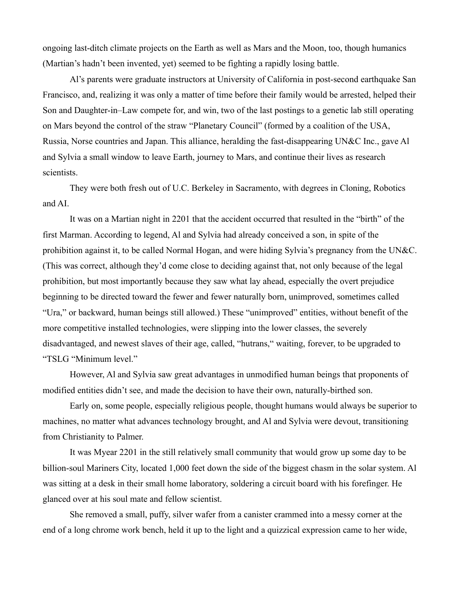ongoing last-ditch climate projects on the Earth as well as Mars and the Moon, too, though humanics (Martian's hadn't been invented, yet) seemed to be fighting a rapidly losing battle.

Al's parents were graduate instructors at University of California in post-second earthquake San Francisco, and, realizing it was only a matter of time before their family would be arrested, helped their Son and Daughter-in–Law compete for, and win, two of the last postings to a genetic lab still operating on Mars beyond the control of the straw "Planetary Council" (formed by a coalition of the USA, Russia, Norse countries and Japan. This alliance, heralding the fast-disappearing UN&C Inc., gave Al and Sylvia a small window to leave Earth, journey to Mars, and continue their lives as research scientists.

They were both fresh out of U.C. Berkeley in Sacramento, with degrees in Cloning, Robotics and AI.

It was on a Martian night in 2201 that the accident occurred that resulted in the "birth" of the first Marman. According to legend, Al and Sylvia had already conceived a son, in spite of the prohibition against it, to be called Normal Hogan, and were hiding Sylvia's pregnancy from the UN&C. (This was correct, although they'd come close to deciding against that, not only because of the legal prohibition, but most importantly because they saw what lay ahead, especially the overt prejudice beginning to be directed toward the fewer and fewer naturally born, unimproved, sometimes called "Ura," or backward, human beings still allowed.) These "unimproved" entities, without benefit of the more competitive installed technologies, were slipping into the lower classes, the severely disadvantaged, and newest slaves of their age, called, "hutrans," waiting, forever, to be upgraded to "TSLG "Minimum level."

However, Al and Sylvia saw great advantages in unmodified human beings that proponents of modified entities didn't see, and made the decision to have their own, naturally-birthed son.

Early on, some people, especially religious people, thought humans would always be superior to machines, no matter what advances technology brought, and Al and Sylvia were devout, transitioning from Christianity to Palmer.

It was Myear 2201 in the still relatively small community that would grow up some day to be billion-soul Mariners City, located 1,000 feet down the side of the biggest chasm in the solar system. Al was sitting at a desk in their small home laboratory, soldering a circuit board with his forefinger. He glanced over at his soul mate and fellow scientist.

She removed a small, puffy, silver wafer from a canister crammed into a messy corner at the end of a long chrome work bench, held it up to the light and a quizzical expression came to her wide,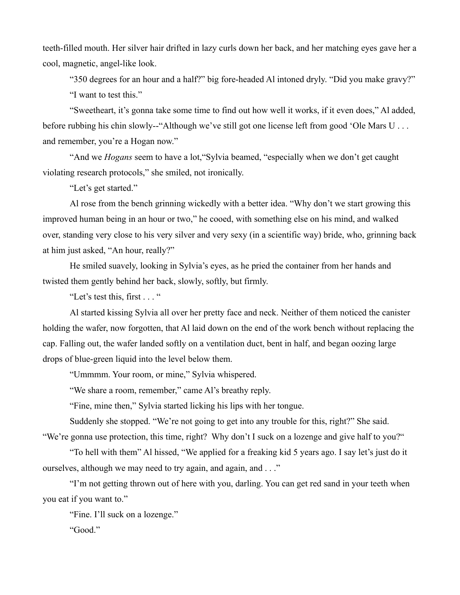teeth-filled mouth. Her silver hair drifted in lazy curls down her back, and her matching eyes gave her a cool, magnetic, angel-like look.

"350 degrees for an hour and a half?" big fore-headed Al intoned dryly. "Did you make gravy?" "I want to test this."

"Sweetheart, it's gonna take some time to find out how well it works, if it even does," Al added, before rubbing his chin slowly--"Although we've still got one license left from good 'Ole Mars U ... and remember, you're a Hogan now."

"And we *Hogans* seem to have a lot,"Sylvia beamed, "especially when we don't get caught violating research protocols," she smiled, not ironically.

"Let's get started."

Al rose from the bench grinning wickedly with a better idea. "Why don't we start growing this improved human being in an hour or two," he cooed, with something else on his mind, and walked over, standing very close to his very silver and very sexy (in a scientific way) bride, who, grinning back at him just asked, "An hour, really?"

He smiled suavely, looking in Sylvia's eyes, as he pried the container from her hands and twisted them gently behind her back, slowly, softly, but firmly.

"Let's test this, first . . . "

Al started kissing Sylvia all over her pretty face and neck. Neither of them noticed the canister holding the wafer, now forgotten, that Al laid down on the end of the work bench without replacing the cap. Falling out, the wafer landed softly on a ventilation duct, bent in half, and began oozing large drops of blue-green liquid into the level below them.

"Ummmm. Your room, or mine," Sylvia whispered.

"We share a room, remember," came Al's breathy reply.

"Fine, mine then," Sylvia started licking his lips with her tongue.

Suddenly she stopped. "We're not going to get into any trouble for this, right?" She said. "We're gonna use protection, this time, right? Why don't I suck on a lozenge and give half to you?"

"To hell with them" Al hissed, "We applied for a freaking kid 5 years ago. I say let's just do it ourselves, although we may need to try again, and again, and . . ."

"I'm not getting thrown out of here with you, darling. You can get red sand in your teeth when you eat if you want to."

"Fine. I'll suck on a lozenge."

"Good."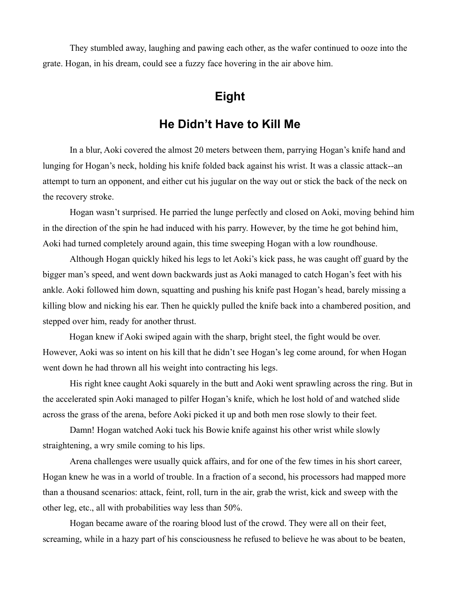They stumbled away, laughing and pawing each other, as the wafer continued to ooze into the grate. Hogan, in his dream, could see a fuzzy face hovering in the air above him.

# **Eight**

### **He Didn't Have to Kill Me**

In a blur, Aoki covered the almost 20 meters between them, parrying Hogan's knife hand and lunging for Hogan's neck, holding his knife folded back against his wrist. It was a classic attack--an attempt to turn an opponent, and either cut his jugular on the way out or stick the back of the neck on the recovery stroke.

Hogan wasn't surprised. He parried the lunge perfectly and closed on Aoki, moving behind him in the direction of the spin he had induced with his parry. However, by the time he got behind him, Aoki had turned completely around again, this time sweeping Hogan with a low roundhouse.

Although Hogan quickly hiked his legs to let Aoki's kick pass, he was caught off guard by the bigger man's speed, and went down backwards just as Aoki managed to catch Hogan's feet with his ankle. Aoki followed him down, squatting and pushing his knife past Hogan's head, barely missing a killing blow and nicking his ear. Then he quickly pulled the knife back into a chambered position, and stepped over him, ready for another thrust.

Hogan knew if Aoki swiped again with the sharp, bright steel, the fight would be over. However, Aoki was so intent on his kill that he didn't see Hogan's leg come around, for when Hogan went down he had thrown all his weight into contracting his legs.

His right knee caught Aoki squarely in the butt and Aoki went sprawling across the ring. But in the accelerated spin Aoki managed to pilfer Hogan's knife, which he lost hold of and watched slide across the grass of the arena, before Aoki picked it up and both men rose slowly to their feet.

Damn! Hogan watched Aoki tuck his Bowie knife against his other wrist while slowly straightening, a wry smile coming to his lips.

Arena challenges were usually quick affairs, and for one of the few times in his short career, Hogan knew he was in a world of trouble. In a fraction of a second, his processors had mapped more than a thousand scenarios: attack, feint, roll, turn in the air, grab the wrist, kick and sweep with the other leg, etc., all with probabilities way less than 50%.

Hogan became aware of the roaring blood lust of the crowd. They were all on their feet, screaming, while in a hazy part of his consciousness he refused to believe he was about to be beaten,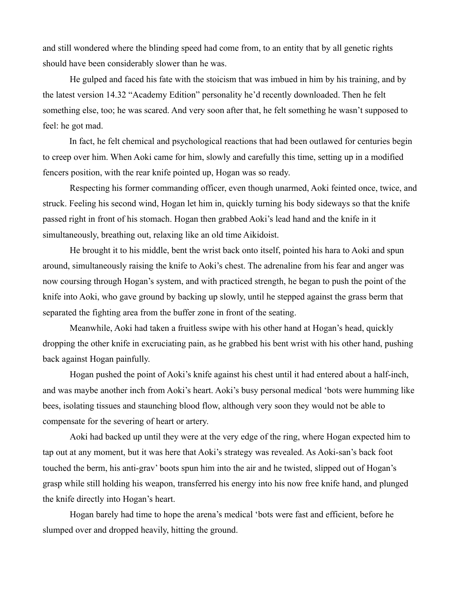and still wondered where the blinding speed had come from, to an entity that by all genetic rights should have been considerably slower than he was.

He gulped and faced his fate with the stoicism that was imbued in him by his training, and by the latest version 14.32 "Academy Edition" personality he'd recently downloaded. Then he felt something else, too; he was scared. And very soon after that, he felt something he wasn't supposed to feel: he got mad.

In fact, he felt chemical and psychological reactions that had been outlawed for centuries begin to creep over him. When Aoki came for him, slowly and carefully this time, setting up in a modified fencers position, with the rear knife pointed up, Hogan was so ready.

Respecting his former commanding officer, even though unarmed, Aoki feinted once, twice, and struck. Feeling his second wind, Hogan let him in, quickly turning his body sideways so that the knife passed right in front of his stomach. Hogan then grabbed Aoki's lead hand and the knife in it simultaneously, breathing out, relaxing like an old time Aikidoist.

He brought it to his middle, bent the wrist back onto itself, pointed his hara to Aoki and spun around, simultaneously raising the knife to Aoki's chest. The adrenaline from his fear and anger was now coursing through Hogan's system, and with practiced strength, he began to push the point of the knife into Aoki, who gave ground by backing up slowly, until he stepped against the grass berm that separated the fighting area from the buffer zone in front of the seating.

Meanwhile, Aoki had taken a fruitless swipe with his other hand at Hogan's head, quickly dropping the other knife in excruciating pain, as he grabbed his bent wrist with his other hand, pushing back against Hogan painfully.

Hogan pushed the point of Aoki's knife against his chest until it had entered about a half-inch, and was maybe another inch from Aoki's heart. Aoki's busy personal medical 'bots were humming like bees, isolating tissues and staunching blood flow, although very soon they would not be able to compensate for the severing of heart or artery.

Aoki had backed up until they were at the very edge of the ring, where Hogan expected him to tap out at any moment, but it was here that Aoki's strategy was revealed. As Aoki-san's back foot touched the berm, his anti-grav' boots spun him into the air and he twisted, slipped out of Hogan's grasp while still holding his weapon, transferred his energy into his now free knife hand, and plunged the knife directly into Hogan's heart.

Hogan barely had time to hope the arena's medical 'bots were fast and efficient, before he slumped over and dropped heavily, hitting the ground.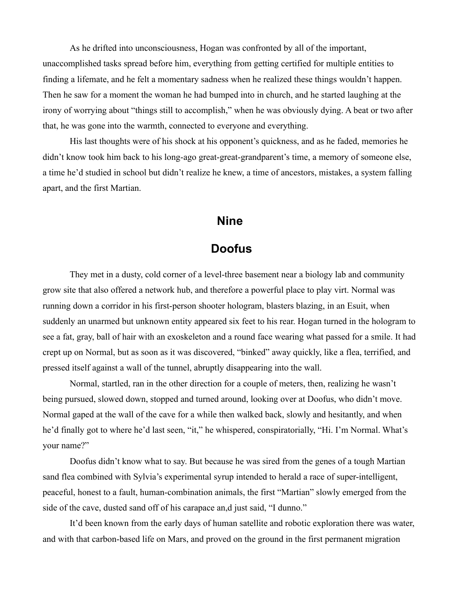As he drifted into unconsciousness, Hogan was confronted by all of the important, unaccomplished tasks spread before him, everything from getting certified for multiple entities to finding a lifemate, and he felt a momentary sadness when he realized these things wouldn't happen. Then he saw for a moment the woman he had bumped into in church, and he started laughing at the irony of worrying about "things still to accomplish," when he was obviously dying. A beat or two after that, he was gone into the warmth, connected to everyone and everything.

His last thoughts were of his shock at his opponent's quickness, and as he faded, memories he didn't know took him back to his long-ago great-great-grandparent's time, a memory of someone else, a time he'd studied in school but didn't realize he knew, a time of ancestors, mistakes, a system falling apart, and the first Martian.

### **Nine**

# **Doofus**

They met in a dusty, cold corner of a level-three basement near a biology lab and community grow site that also offered a network hub, and therefore a powerful place to play virt. Normal was running down a corridor in his first-person shooter hologram, blasters blazing, in an Esuit, when suddenly an unarmed but unknown entity appeared six feet to his rear. Hogan turned in the hologram to see a fat, gray, ball of hair with an exoskeleton and a round face wearing what passed for a smile. It had crept up on Normal, but as soon as it was discovered, "binked" away quickly, like a flea, terrified, and pressed itself against a wall of the tunnel, abruptly disappearing into the wall.

Normal, startled, ran in the other direction for a couple of meters, then, realizing he wasn't being pursued, slowed down, stopped and turned around, looking over at Doofus, who didn't move. Normal gaped at the wall of the cave for a while then walked back, slowly and hesitantly, and when he'd finally got to where he'd last seen, "it," he whispered, conspiratorially, "Hi. I'm Normal. What's your name?"

Doofus didn't know what to say. But because he was sired from the genes of a tough Martian sand flea combined with Sylvia's experimental syrup intended to herald a race of super-intelligent, peaceful, honest to a fault, human-combination animals, the first "Martian" slowly emerged from the side of the cave, dusted sand off of his carapace an,d just said, "I dunno."

It'd been known from the early days of human satellite and robotic exploration there was water, and with that carbon-based life on Mars, and proved on the ground in the first permanent migration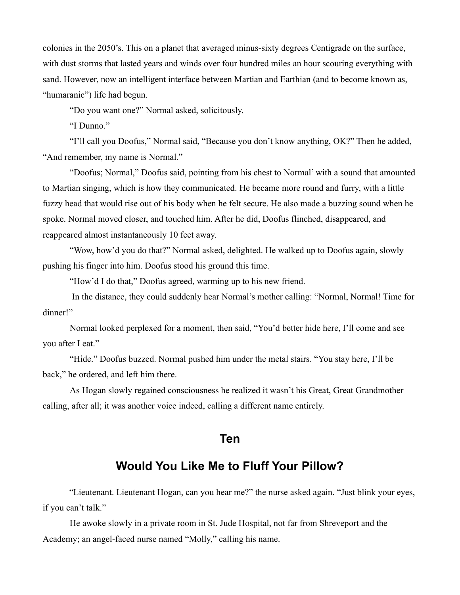colonies in the 2050's. This on a planet that averaged minus-sixty degrees Centigrade on the surface, with dust storms that lasted years and winds over four hundred miles an hour scouring everything with sand. However, now an intelligent interface between Martian and Earthian (and to become known as, "humaranic") life had begun.

"Do you want one?" Normal asked, solicitously.

"I Dunno."

"I'll call you Doofus," Normal said, "Because you don't know anything, OK?" Then he added, "And remember, my name is Normal."

"Doofus; Normal," Doofus said, pointing from his chest to Normal' with a sound that amounted to Martian singing, which is how they communicated. He became more round and furry, with a little fuzzy head that would rise out of his body when he felt secure. He also made a buzzing sound when he spoke. Normal moved closer, and touched him. After he did, Doofus flinched, disappeared, and reappeared almost instantaneously 10 feet away.

"Wow, how'd you do that?" Normal asked, delighted. He walked up to Doofus again, slowly pushing his finger into him. Doofus stood his ground this time.

"How'd I do that," Doofus agreed, warming up to his new friend.

 In the distance, they could suddenly hear Normal's mother calling: "Normal, Normal! Time for dinner!"

Normal looked perplexed for a moment, then said, "You'd better hide here, I'll come and see you after I eat."

"Hide." Doofus buzzed. Normal pushed him under the metal stairs. "You stay here, I'll be back," he ordered, and left him there.

As Hogan slowly regained consciousness he realized it wasn't his Great, Great Grandmother calling, after all; it was another voice indeed, calling a different name entirely.

#### **Ten**

## **Would You Like Me to Fluff Your Pillow?**

"Lieutenant. Lieutenant Hogan, can you hear me?" the nurse asked again. "Just blink your eyes, if you can't talk."

He awoke slowly in a private room in St. Jude Hospital, not far from Shreveport and the Academy; an angel-faced nurse named "Molly," calling his name.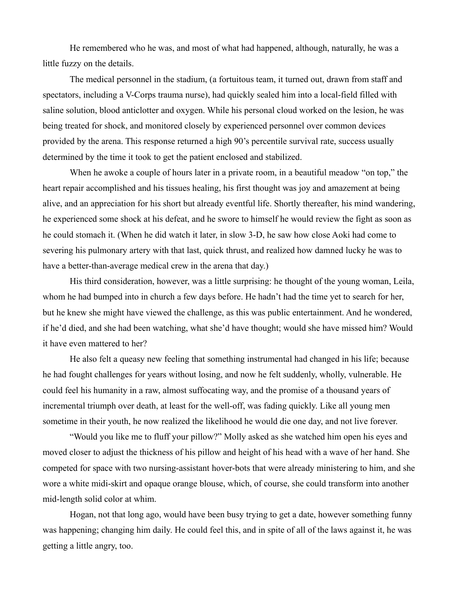He remembered who he was, and most of what had happened, although, naturally, he was a little fuzzy on the details.

The medical personnel in the stadium, (a fortuitous team, it turned out, drawn from staff and spectators, including a V-Corps trauma nurse), had quickly sealed him into a local-field filled with saline solution, blood anticlotter and oxygen. While his personal cloud worked on the lesion, he was being treated for shock, and monitored closely by experienced personnel over common devices provided by the arena. This response returned a high 90's percentile survival rate, success usually determined by the time it took to get the patient enclosed and stabilized.

When he awoke a couple of hours later in a private room, in a beautiful meadow "on top," the heart repair accomplished and his tissues healing, his first thought was joy and amazement at being alive, and an appreciation for his short but already eventful life. Shortly thereafter, his mind wandering, he experienced some shock at his defeat, and he swore to himself he would review the fight as soon as he could stomach it. (When he did watch it later, in slow 3-D, he saw how close Aoki had come to severing his pulmonary artery with that last, quick thrust, and realized how damned lucky he was to have a better-than-average medical crew in the arena that day.)

His third consideration, however, was a little surprising: he thought of the young woman, Leila, whom he had bumped into in church a few days before. He hadn't had the time yet to search for her, but he knew she might have viewed the challenge, as this was public entertainment. And he wondered, if he'd died, and she had been watching, what she'd have thought; would she have missed him? Would it have even mattered to her?

He also felt a queasy new feeling that something instrumental had changed in his life; because he had fought challenges for years without losing, and now he felt suddenly, wholly, vulnerable. He could feel his humanity in a raw, almost suffocating way, and the promise of a thousand years of incremental triumph over death, at least for the well-off, was fading quickly. Like all young men sometime in their youth, he now realized the likelihood he would die one day, and not live forever.

"Would you like me to fluff your pillow?" Molly asked as she watched him open his eyes and moved closer to adjust the thickness of his pillow and height of his head with a wave of her hand. She competed for space with two nursing-assistant hover-bots that were already ministering to him, and she wore a white midi-skirt and opaque orange blouse, which, of course, she could transform into another mid-length solid color at whim.

Hogan, not that long ago, would have been busy trying to get a date, however something funny was happening; changing him daily. He could feel this, and in spite of all of the laws against it, he was getting a little angry, too.